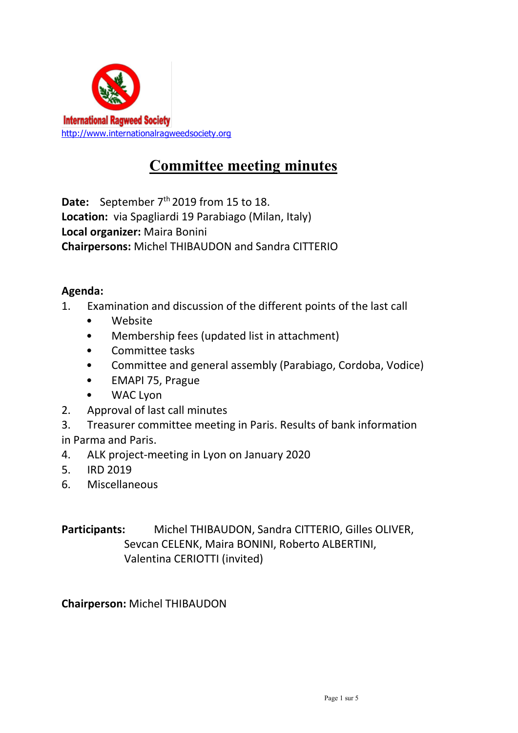

# Committee meeting minutes

**Date:** September  $7<sup>th</sup>$  2019 from 15 to 18. Location: via Spagliardi 19 Parabiago (Milan, Italy) Local organizer: Maira Bonini Chairpersons: Michel THIBAUDON and Sandra CITTERIO

#### Agenda:

- 1. Examination and discussion of the different points of the last call
	- Website
	- Membership fees (updated list in attachment)
	- Committee tasks
	- Committee and general assembly (Parabiago, Cordoba, Vodice)
	- EMAPI 75, Prague
	- WAC Lyon
- 2. Approval of last call minutes
- 3. Treasurer committee meeting in Paris. Results of bank information
- in Parma and Paris.
- 4. ALK project-meeting in Lyon on January 2020
- 5. IRD 2019
- 6. Miscellaneous

Participants: Michel THIBAUDON, Sandra CITTERIO, Gilles OLIVER, Sevcan CELENK, Maira BONINI, Roberto ALBERTINI, Valentina CERIOTTI (invited)

Chairperson: Michel THIBAUDON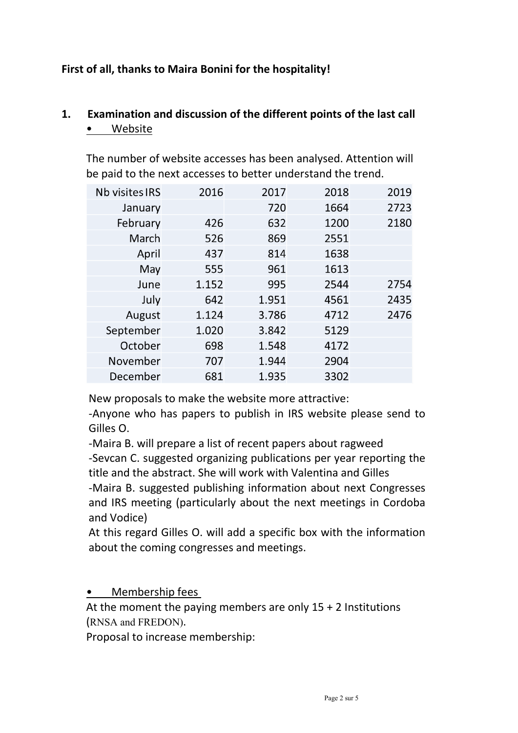#### First of all, thanks to Maira Bonini for the hospitality!

# 1. Examination and discussion of the different points of the last call • Website

The number of website accesses has been analysed. Attention will be paid to the next accesses to better understand the trend.

| <b>Nb visites IRS</b> | 2016  | 2017  | 2018 | 2019 |
|-----------------------|-------|-------|------|------|
| January               |       | 720   | 1664 | 2723 |
| February              | 426   | 632   | 1200 | 2180 |
| March                 | 526   | 869   | 2551 |      |
| April                 | 437   | 814   | 1638 |      |
| May                   | 555   | 961   | 1613 |      |
| June                  | 1.152 | 995   | 2544 | 2754 |
| July                  | 642   | 1.951 | 4561 | 2435 |
| August                | 1.124 | 3.786 | 4712 | 2476 |
| September             | 1.020 | 3.842 | 5129 |      |
| October               | 698   | 1.548 | 4172 |      |
| November              | 707   | 1.944 | 2904 |      |
| December              | 681   | 1.935 | 3302 |      |

New proposals to make the website more attractive:

-Anyone who has papers to publish in IRS website please send to Gilles O.

-Maira B. will prepare a list of recent papers about ragweed

-Sevcan C. suggested organizing publications per year reporting the title and the abstract. She will work with Valentina and Gilles

-Maira B. suggested publishing information about next Congresses and IRS meeting (particularly about the next meetings in Cordoba and Vodice)

At this regard Gilles O. will add a specific box with the information about the coming congresses and meetings.

• Membership fees

At the moment the paying members are only  $15 + 2$  Institutions (RNSA and FREDON).

Proposal to increase membership: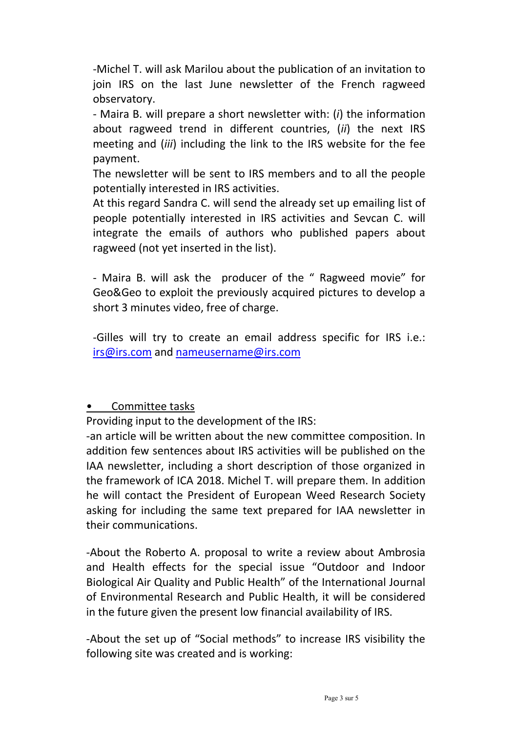-Michel T. will ask Marilou about the publication of an invitation to join IRS on the last June newsletter of the French ragweed observatory.

- Maira B. will prepare a short newsletter with: (i) the information about ragweed trend in different countries. (ii) the next IRS meeting and *(iii)* including the link to the IRS website for the fee payment.

The newsletter will be sent to IRS members and to all the people potentially interested in IRS activities.

At this regard Sandra C. will send the already set up emailing list of people potentially interested in IRS activities and Sevcan C. will integrate the emails of authors who published papers about ragweed (not yet inserted in the list).

- Maira B. will ask the producer of the " Ragweed movie" for Geo&Geo to exploit the previously acquired pictures to develop a short 3 minutes video, free of charge.

-Gilles will try to create an email address specific for IRS i.e.: irs@irs.com and nameusername@irs.com

#### • Committee tasks

Providing input to the development of the IRS:

-an article will be written about the new committee composition. In addition few sentences about IRS activities will be published on the IAA newsletter, including a short description of those organized in the framework of ICA 2018. Michel T. will prepare them. In addition he will contact the President of European Weed Research Society asking for including the same text prepared for IAA newsletter in their communications.

-About the Roberto A. proposal to write a review about Ambrosia and Health effects for the special issue "Outdoor and Indoor Biological Air Quality and Public Health" of the International Journal of Environmental Research and Public Health, it will be considered in the future given the present low financial availability of IRS.

-About the set up of "Social methods" to increase IRS visibility the following site was created and is working: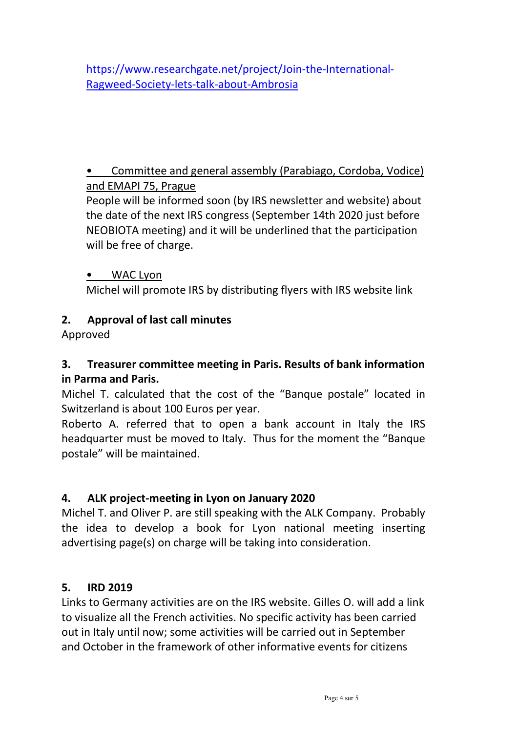https://www.researchgate.net/project/Join-the-International-Ragweed-Society-lets-talk-about-Ambrosia

# • Committee and general assembly (Parabiago, Cordoba, Vodice) and EMAPI 75, Prague

People will be informed soon (by IRS newsletter and website) about the date of the next IRS congress (September 14th 2020 just before NEOBIOTA meeting) and it will be underlined that the participation will be free of charge.

#### • WAC Lyon

Michel will promote IRS by distributing flyers with IRS website link

# 2. Approval of last call minutes

Approved

# 3. Treasurer committee meeting in Paris. Results of bank information in Parma and Paris.

Michel T. calculated that the cost of the "Banque postale" located in Switzerland is about 100 Euros per year.

Roberto A. referred that to open a bank account in Italy the IRS headquarter must be moved to Italy. Thus for the moment the "Banque postale" will be maintained.

# 4. ALK project-meeting in Lyon on January 2020

Michel T. and Oliver P. are still speaking with the ALK Company. Probably the idea to develop a book for Lyon national meeting inserting advertising page(s) on charge will be taking into consideration.

# 5. IRD 2019

Links to Germany activities are on the IRS website. Gilles O. will add a link to visualize all the French activities. No specific activity has been carried out in Italy until now; some activities will be carried out in September and October in the framework of other informative events for citizens